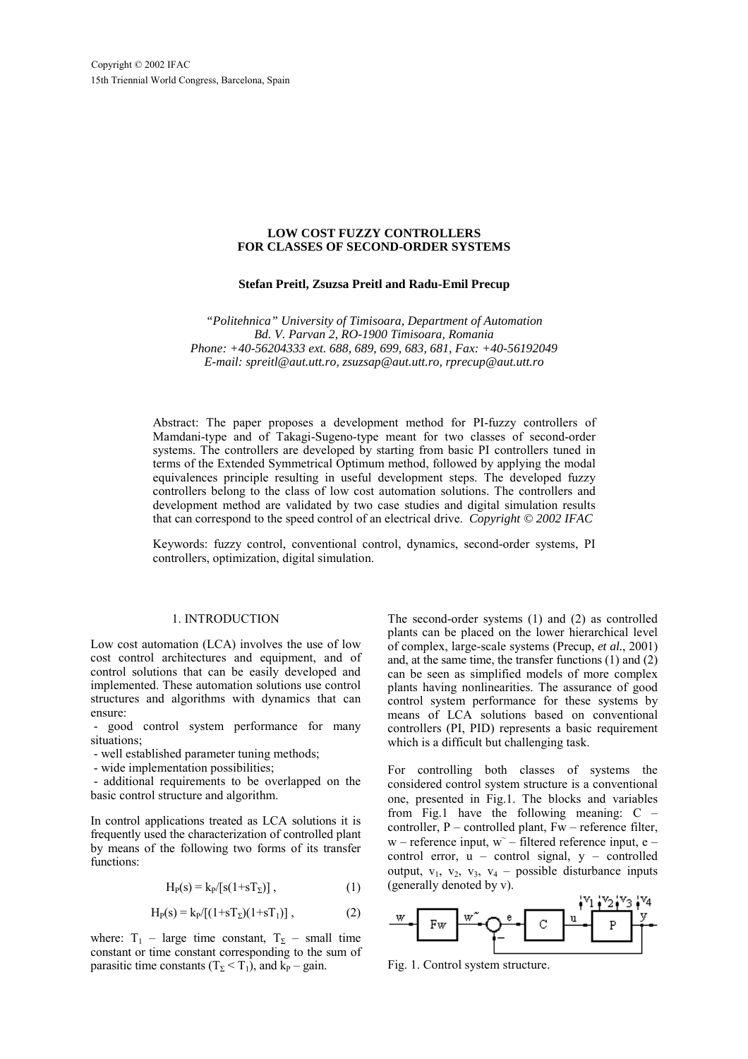### **LOW COST FUZZY CONTROLLERS FOR CLASSES OF SECOND-ORDER SYSTEMS**

#### **Stefan Preitl, Zsuzsa Preitl and Radu-Emil Precup**

*"Politehnica" University of Timisoara, Department of Automation Bd. V. Parvan 2, RO-1900 Timisoara, Romania Phone: +40-56204333 ext. 688, 689, 699, 683, 681, Fax: +40-56192049 E-mail: spreitl@aut.utt.ro, zsuzsap@aut.utt.ro, rprecup@aut.utt.ro*

Abstract: The paper proposes a development method for PI-fuzzy controllers of Mamdani-type and of Takagi-Sugeno-type meant for two classes of second-order systems. The controllers are developed by starting from basic PI controllers tuned in terms of the Extended Symmetrical Optimum method, followed by applying the modal equivalences principle resulting in useful development steps. The developed fuzzy controllers belong to the class of low cost automation solutions. The controllers and development method are validated by two case studies and digital simulation results that can correspond to the speed control of an electrical drive. *Copyright © 2002 IFAC*

Keywords: fuzzy control, conventional control, dynamics, second-order systems, PI controllers, optimization, digital simulation.

#### 1. INTRODUCTION

Low cost automation (LCA) involves the use of low cost control architectures and equipment, and of control solutions that can be easily developed and implemented. These automation solutions use control structures and algorithms with dynamics that can ensure:

 - good control system performance for many situations;

- well established parameter tuning methods;

- wide implementation possibilities;

 - additional requirements to be overlapped on the basic control structure and algorithm.

In control applications treated as LCA solutions it is frequently used the characterization of controlled plant by means of the following two forms of its transfer functions:

$$
H_P(s) = k_P/[s(1+sT_\Sigma)],\qquad (1)
$$

$$
H_P(s) = k_P / [(1 + sT_{\Sigma})(1 + sT_1)],
$$
 (2)

where:  $T_1$  – large time constant,  $T_\Sigma$  – small time constant or time constant corresponding to the sum of parasitic time constants ( $T_\Sigma < T_1$ ), and k<sub>P</sub> – gain.

The second-order systems (1) and (2) as controlled plants can be placed on the lower hierarchical level of complex, large-scale systems (Precup, *et al.*, 2001) and, at the same time, the transfer functions (1) and (2) can be seen as simplified models of more complex plants having nonlinearities. The assurance of good control system performance for these systems by means of LCA solutions based on conventional controllers (PI, PID) represents a basic requirement which is a difficult but challenging task.

For controlling both classes of systems the considered control system structure is a conventional one, presented in Fig.1. The blocks and variables from Fig.1 have the following meaning: C – controller, P – controlled plant, Fw – reference filter,  $w$  – reference input,  $w$ <sup> $-$ </sup> filtered reference input, e – control error,  $u -$  control signal,  $y -$  controlled output,  $v_1$ ,  $v_2$ ,  $v_3$ ,  $v_4$  – possible disturbance inputs (generally denoted by v).



Fig. 1. Control system structure.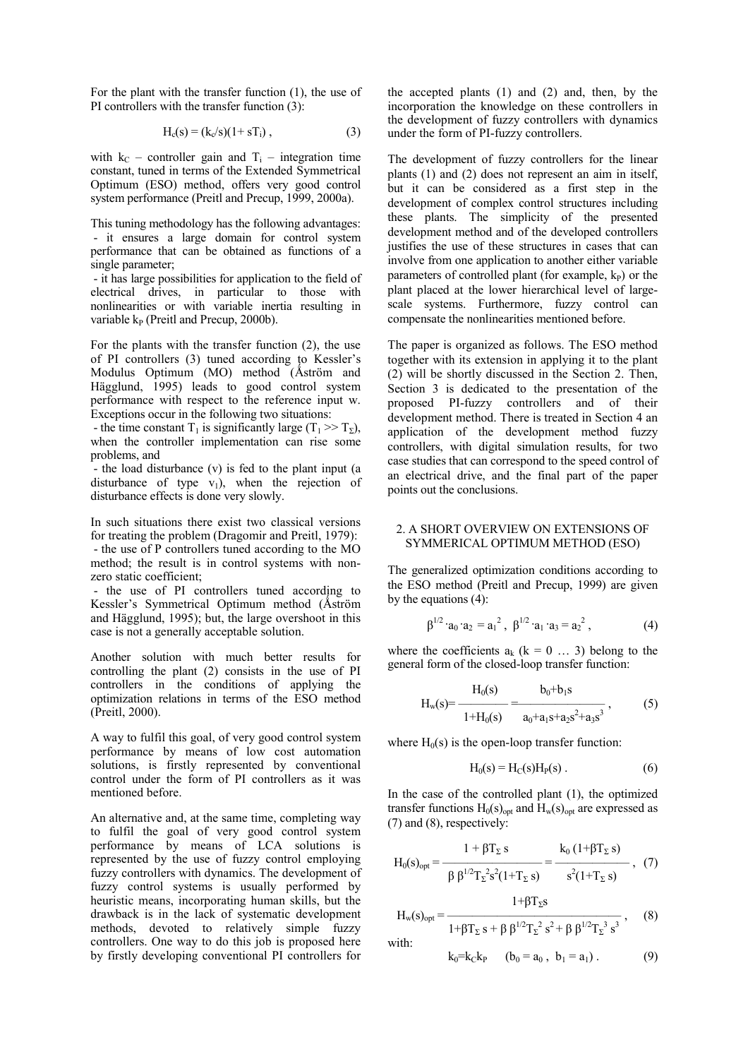For the plant with the transfer function (1), the use of PI controllers with the transfer function (3):

$$
H_c(s) = (k_c/s)(1 + sT_i),
$$
 (3)

with  $k_C$  – controller gain and  $T_i$  – integration time constant, tuned in terms of the Extended Symmetrical Optimum (ESO) method, offers very good control system performance (Preitl and Precup, 1999, 2000a).

This tuning methodology has the following advantages: - it ensures a large domain for control system performance that can be obtained as functions of a single parameter;

 - it has large possibilities for application to the field of electrical drives, in particular to those with nonlinearities or with variable inertia resulting in variable  $k_P$  (Preitl and Precup, 2000b).

For the plants with the transfer function (2), the use of PI controllers (3) tuned according to Kessler's Modulus Optimum (MO) method (Åström and Hägglund, 1995) leads to good control system performance with respect to the reference input w. Exceptions occur in the following two situations:

- the time constant T<sub>1</sub> is significantly large (T<sub>1</sub> >> T<sub>Σ</sub>), when the controller implementation can rise some problems, and

 - the load disturbance (v) is fed to the plant input (a disturbance of type  $v_1$ ), when the rejection of disturbance effects is done very slowly.

In such situations there exist two classical versions for treating the problem (Dragomir and Preitl, 1979): - the use of P controllers tuned according to the MO

method; the result is in control systems with nonzero static coefficient;

 - the use of PI controllers tuned according to Kessler's Symmetrical Optimum method (Åström and Hägglund, 1995); but, the large overshoot in this case is not a generally acceptable solution.

Another solution with much better results for controlling the plant (2) consists in the use of PI controllers in the conditions of applying the optimization relations in terms of the ESO method (Preitl, 2000).

A way to fulfil this goal, of very good control system performance by means of low cost automation solutions, is firstly represented by conventional control under the form of PI controllers as it was mentioned before.

An alternative and, at the same time, completing way to fulfil the goal of very good control system performance by means of LCA solutions is represented by the use of fuzzy control employing fuzzy controllers with dynamics. The development of fuzzy control systems is usually performed by heuristic means, incorporating human skills, but the drawback is in the lack of systematic development methods, devoted to relatively simple fuzzy controllers. One way to do this job is proposed here by firstly developing conventional PI controllers for

the accepted plants (1) and (2) and, then, by the incorporation the knowledge on these controllers in the development of fuzzy controllers with dynamics under the form of PI-fuzzy controllers.

The development of fuzzy controllers for the linear plants (1) and (2) does not represent an aim in itself, but it can be considered as a first step in the development of complex control structures including these plants. The simplicity of the presented development method and of the developed controllers justifies the use of these structures in cases that can involve from one application to another either variable parameters of controlled plant (for example,  $k_P$ ) or the plant placed at the lower hierarchical level of largescale systems. Furthermore, fuzzy control can compensate the nonlinearities mentioned before.

The paper is organized as follows. The ESO method together with its extension in applying it to the plant (2) will be shortly discussed in the Section 2. Then, Section 3 is dedicated to the presentation of the proposed PI-fuzzy controllers and of their development method. There is treated in Section 4 an application of the development method fuzzy controllers, with digital simulation results, for two case studies that can correspond to the speed control of an electrical drive, and the final part of the paper points out the conclusions.

## 2. A SHORT OVERVIEW ON EXTENSIONS OF SYMMERICAL OPTIMUM METHOD (ESO)

The generalized optimization conditions according to the ESO method (Preitl and Precup, 1999) are given by the equations (4):

$$
\beta^{1/2} \cdot a_0 \cdot a_2 = a_1^2, \ \beta^{1/2} \cdot a_1 \cdot a_3 = a_2^2, \tag{4}
$$

where the coefficients  $a_k$  ( $k = 0$  ... 3) belong to the general form of the closed-loop transfer function:

$$
H_w(s) = \frac{H_0(s)}{1 + H_0(s)} = \frac{b_0 + b_1 s}{a_0 + a_1 s + a_2 s^2 + a_3 s^3},
$$
 (5)

where  $H_0(s)$  is the open-loop transfer function:

$$
H_0(s) = H_C(s)H_P(s)
$$
. (6)

In the case of the controlled plant (1), the optimized transfer functions  $H_0(s)_{opt}$  and  $H_w(s)_{opt}$  are expressed as (7) and (8), respectively:

$$
H_0(s)_{opt} = \frac{1 + \beta T_{\Sigma} s}{\beta \beta^{1/2} T_{\Sigma}^2 s^2 (1 + T_{\Sigma} s)} = \frac{k_0 (1 + \beta T_{\Sigma} s)}{s^2 (1 + T_{\Sigma} s)}, \quad (7)
$$

$$
H_w(s)_{opt} = \frac{1 + \beta T_{\Sigma} s}{1 + \beta T_{\Sigma} s + \beta \beta^{1/2} T_{\Sigma}^2 s^2 + \beta \beta^{1/2} T_{\Sigma}^3 s^3},
$$
 (8)

with:

$$
k_0=k_Ck_P
$$
  $(b_0 = a_0, b_1 = a_1)$ . (9)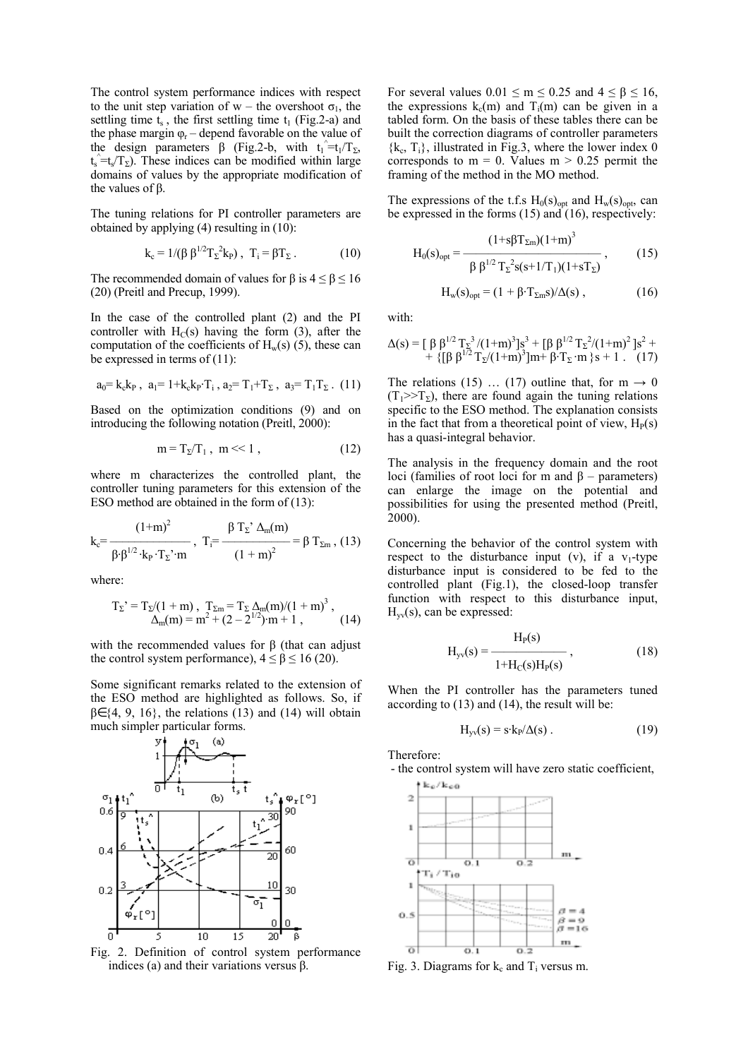The control system performance indices with respect to the unit step variation of w – the overshoot  $\sigma_1$ , the settling time  $t_s$ , the first settling time  $t_1$  (Fig.2-a) and the phase margin  $\varphi_r$  – depend favorable on the value of the design parameters  $\beta$  (Fig.2-b, with  $t_1 = t_1/T_{\Sigma}$ ,  $t_s = t_s/T_\Sigma$ ). These indices can be modified within large domains of values by the appropriate modification of the values of β.

The tuning relations for PI controller parameters are obtained by applying (4) resulting in (10):

$$
\mathbf{k}_{\rm c} = 1/(\beta \beta^{1/2} T_{\Sigma}^2 \mathbf{k}_{\rm P}), \ \mathbf{T}_{\rm i} = \beta T_{\Sigma} \,. \tag{10}
$$

The recommended domain of values for  $\beta$  is  $4 \le \beta \le 16$ (20) (Preitl and Precup, 1999).

In the case of the controlled plant (2) and the PI controller with  $H_C(s)$  having the form (3), after the computation of the coefficients of  $H_w(s)$  (5), these can be expressed in terms of (11):

$$
a_0 = k_c k_P , a_1 = 1 + k_c k_P \cdot T_i , a_2 = T_1 + T_\Sigma , a_3 = T_1 T_\Sigma . (11)
$$

Based on the optimization conditions (9) and on introducing the following notation (Preitl, 2000):

$$
\mathbf{m} = \mathbf{T}_{\Sigma} / \mathbf{T}_1, \ \mathbf{m} \ll 1 \,, \tag{12}
$$

where m characterizes the controlled plant, the controller tuning parameters for this extension of the ESO method are obtained in the form of (13):

$$
k_c = \frac{(1+m)^2}{\beta \cdot \beta^{1/2} \cdot k_P \cdot T_{\Sigma} \cdot m}, \ T_i = \frac{\beta T_{\Sigma} \cdot \Delta_m(m)}{(1+m)^2} = \beta T_{\Sigma m}, (13)
$$

where:

$$
T_{\Sigma}^{\, \prime} = T_{\Sigma} / (1 + m) , \ T_{\Sigma m} = T_{\Sigma} \Delta_m(m) / (1 + m)^3 ,
$$
  
 
$$
\Delta_m(m) = m^2 + (2 - 2^{1/2}) \cdot m + 1 , \qquad (14)
$$

with the recommended values for β (that can adjust the control system performance),  $4 \le \beta \le 16$  (20).

Some significant remarks related to the extension of the ESO method are highlighted as follows. So, if  $\beta \in \{4, 9, 16\}$ , the relations (13) and (14) will obtain much simpler particular forms.





For several values  $0.01 \le m \le 0.25$  and  $4 \le \beta \le 16$ . the expressions  $k_c(m)$  and  $T_i(m)$  can be given in a tabled form. On the basis of these tables there can be built the correction diagrams of controller parameters  ${k_c, T_i}$ , illustrated in Fig.3, where the lower index 0 corresponds to  $m = 0$ . Values  $m > 0.25$  permit the framing of the method in the MO method.

The expressions of the t.f.s  $H_0(s)_{\text{opt}}$  and  $H_w(s)_{\text{opt}}$ , can be expressed in the forms (15) and (16), respectively:

$$
H_0(s)_{opt} = \frac{(1+s\beta T_{\Sigma m})(1+m)^3}{\beta \beta^{1/2} T_{\Sigma}^2 s(s+1/T_1)(1+sT_{\Sigma})},
$$
 (15)

$$
H_w(s)_{opt} = (1 + \beta \cdot T_{\Sigma m} s) / \Delta(s) , \qquad (16)
$$

with:

$$
\Delta(s) = \left[\begin{array}{cc} \beta \beta^{1/2} T_{\Sigma}^{-3} / (1+m)^{3} s^{3} + \left[\beta \beta^{1/2} T_{\Sigma}^{-2} / (1+m)^{2} s^{2} + \right. \\ + \left. \left\{ \left[\beta \beta^{1/2} T_{\Sigma} / (1+m)^{3} \right] m + \beta \cdot T_{\Sigma} \cdot m \right. \right\} s + 1 \ . \end{array} \right. (17)
$$

The relations (15) … (17) outline that, for  $m \rightarrow 0$  $(T_1 \gg T_\Sigma)$ , there are found again the tuning relations specific to the ESO method. The explanation consists in the fact that from a theoretical point of view,  $H<sub>P</sub>(s)$ has a quasi-integral behavior.

The analysis in the frequency domain and the root loci (families of root loci for m and  $β$  – parameters) can enlarge the image on the potential and possibilities for using the presented method (Preitl, 2000).

Concerning the behavior of the control system with respect to the disturbance input (v), if a  $v_1$ -type disturbance input is considered to be fed to the controlled plant (Fig.1), the closed-loop transfer function with respect to this disturbance input,  $H_{vv}(s)$ , can be expressed:

$$
H_{\rm yv}(s) = \frac{H_{\rm P}(s)}{1 + H_{\rm C}(s)H_{\rm P}(s)},
$$
\n(18)

When the PI controller has the parameters tuned according to (13) and (14), the result will be:

$$
H_{yy}(s) = s \cdot k_P / \Delta(s) . \qquad (19)
$$

Therefore:

 - the control system will have zero static coefficient,  $k_e / k_{e0}$ 



Fig. 3. Diagrams for  $k_c$  and  $T_i$  versus m.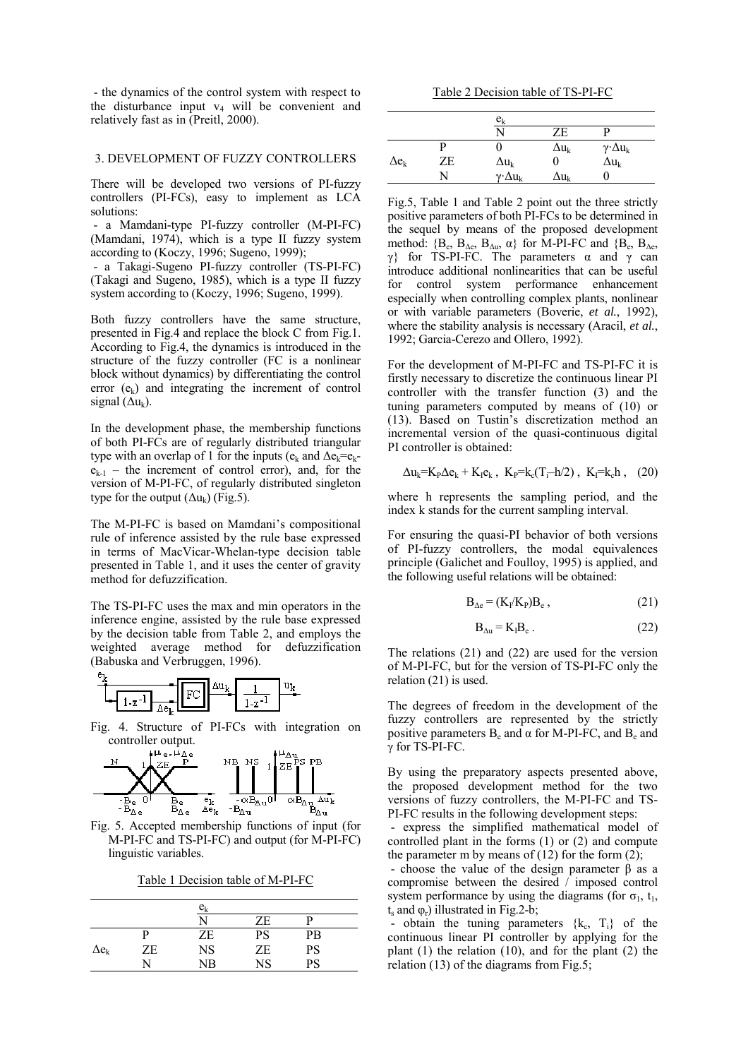- the dynamics of the control system with respect to the disturbance input  $v_4$  will be convenient and relatively fast as in (Preitl, 2000).

#### 3. DEVELOPMENT OF FUZZY CONTROLLERS

There will be developed two versions of PI-fuzzy controllers (PI-FCs), easy to implement as LCA solutions:

 - a Mamdani-type PI-fuzzy controller (M-PI-FC) (Mamdani, 1974), which is a type II fuzzy system according to (Koczy, 1996; Sugeno, 1999);

 - a Takagi-Sugeno PI-fuzzy controller (TS-PI-FC) (Takagi and Sugeno, 1985), which is a type II fuzzy system according to (Koczy, 1996; Sugeno, 1999).

Both fuzzy controllers have the same structure, presented in Fig.4 and replace the block C from Fig.1. According to Fig.4, the dynamics is introduced in the structure of the fuzzy controller (FC is a nonlinear block without dynamics) by differentiating the control error  $(e_k)$  and integrating the increment of control signal  $(\Delta u_k)$ .

In the development phase, the membership functions of both PI-FCs are of regularly distributed triangular type with an overlap of 1 for the inputs ( $e_k$  and  $\Delta e_k = e_k$  $e_{k-1}$  – the increment of control error), and, for the version of M-PI-FC, of regularly distributed singleton type for the output  $(\Delta u_k)$  (Fig.5).

The M-PI-FC is based on Mamdani's compositional rule of inference assisted by the rule base expressed in terms of MacVicar-Whelan-type decision table presented in Table 1, and it uses the center of gravity method for defuzzification.

The TS-PI-FC uses the max and min operators in the inference engine, assisted by the rule base expressed by the decision table from Table 2, and employs the weighted average method for defuzzification (Babuska and Verbruggen, 1996).



Fig. 4. Structure of PI-FCs with integration on



Fig. 5. Accepted membership functions of input (for M-PI-FC and TS-PI-FC) and output (for M-PI-FC) linguistic variables.

Table 1 Decision table of M-PI-FC

|              |    | $\mathrm{e_{k}}$ |           |                 |  |
|--------------|----|------------------|-----------|-----------------|--|
|              |    | N                | ZE        | D               |  |
|              |    | ZE               | PS        | PB              |  |
| $\Delta e_k$ | ZE | <b>NS</b>        | ZE        | PS              |  |
|              |    | NΒ               | <b>NS</b> | $\overline{PS}$ |  |

Table 2 Decision table of TS-PI-FC

|              |    | $\mathrm{e_{k}}$        |                |                           |
|--------------|----|-------------------------|----------------|---------------------------|
|              |    | N                       | ZE             |                           |
|              |    |                         | $\Delta u_k$   | $\gamma \cdot \Delta u_k$ |
| $\Delta e_k$ | ZE | $\Delta u_{k}$          |                | $\Delta u_k$              |
|              | N  | $\gamma$ · $\Delta u_k$ | $\Delta u_{k}$ |                           |

Fig.5, Table 1 and Table 2 point out the three strictly positive parameters of both PI-FCs to be determined in the sequel by means of the proposed development method:  ${B_e, B_{\Delta e}, B_{\Delta u}, \alpha}$  for M-PI-FC and  ${B_e, B_{\Delta e}, B_{\Delta e}}$ γ} for TS-PI-FC. The parameters α and γ can introduce additional nonlinearities that can be useful for control system performance enhancement especially when controlling complex plants, nonlinear or with variable parameters (Boverie, *et al.*, 1992), where the stability analysis is necessary (Aracil, *et al.*, 1992; Garcia-Cerezo and Ollero, 1992).

For the development of M-PI-FC and TS-PI-FC it is firstly necessary to discretize the continuous linear PI controller with the transfer function (3) and the tuning parameters computed by means of (10) or (13). Based on Tustin's discretization method an incremental version of the quasi-continuous digital PI controller is obtained:

$$
\Delta u_k = K_P \Delta e_k + K_I e_k
$$
,  $K_P = k_c (T_i - h/2)$ ,  $K_I = k_c h$ , (20)

where h represents the sampling period, and the index k stands for the current sampling interval.

For ensuring the quasi-PI behavior of both versions of PI-fuzzy controllers, the modal equivalences principle (Galichet and Foulloy, 1995) is applied, and the following useful relations will be obtained:

$$
B_{\Delta e} = (K_I/K_P)B_e , \qquad (21)
$$

$$
B_{\Delta u} = K_I B_e \,. \tag{22}
$$

The relations (21) and (22) are used for the version of M-PI-FC, but for the version of TS-PI-FC only the relation (21) is used.

The degrees of freedom in the development of the fuzzy controllers are represented by the strictly positive parameters  $B_e$  and  $\alpha$  for M-PI-FC, and  $B_e$  and γ for TS-PI-FC.

By using the preparatory aspects presented above, the proposed development method for the two versions of fuzzy controllers, the M-PI-FC and TS-PI-FC results in the following development steps:

 - express the simplified mathematical model of controlled plant in the forms (1) or (2) and compute the parameter m by means of  $(12)$  for the form  $(2)$ ;

 - choose the value of the design parameter β as a compromise between the desired / imposed control system performance by using the diagrams (for  $\sigma_1$ , t<sub>1</sub>,  $t_s$  and  $\varphi_r$ ) illustrated in Fig.2-b;

- obtain the tuning parameters  $\{k_c, T_i\}$  of the continuous linear PI controller by applying for the plant  $(1)$  the relation  $(10)$ , and for the plant  $(2)$  the relation (13) of the diagrams from Fig.5;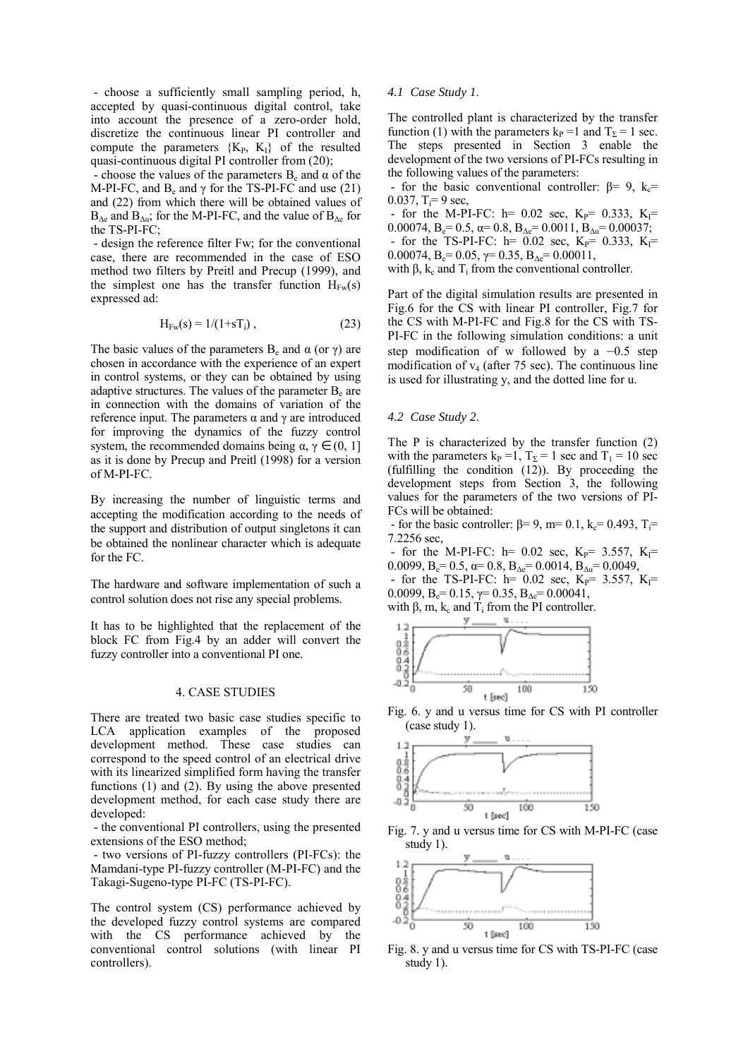- choose a sufficiently small sampling period, h, accepted by quasi-continuous digital control, take into account the presence of a zero-order hold, discretize the continuous linear PI controller and compute the parameters  ${K_P, K_I}$  of the resulted quasi-continuous digital PI controller from (20);

- choose the values of the parameters  $B_e$  and  $\alpha$  of the M-PI-FC, and  $B_e$  and  $\gamma$  for the TS-PI-FC and use (21) and (22) from which there will be obtained values of  $B_{\Delta e}$  and  $B_{\Delta u}$ ; for the M-PI-FC, and the value of  $B_{\Delta e}$  for the TS-PI-FC;

 - design the reference filter Fw; for the conventional case, there are recommended in the case of ESO method two filters by Preitl and Precup (1999), and the simplest one has the transfer function  $H_{Fw}(s)$ expressed ad:

$$
H_{Fw}(s) = 1/(1+sT_i),
$$
 (23)

The basic values of the parameters  $B_e$  and  $\alpha$  (or  $\gamma$ ) are chosen in accordance with the experience of an expert in control systems, or they can be obtained by using adaptive structures. The values of the parameter  $B<sub>e</sub>$  are in connection with the domains of variation of the reference input. The parameters  $\alpha$  and  $\gamma$  are introduced for improving the dynamics of the fuzzy control system, the recommended domains being  $\alpha$ ,  $\gamma \in (0, 1]$ as it is done by Precup and Preitl (1998) for a version of M-PI-FC.

By increasing the number of linguistic terms and accepting the modification according to the needs of the support and distribution of output singletons it can be obtained the nonlinear character which is adequate for the FC.

The hardware and software implementation of such a control solution does not rise any special problems.

It has to be highlighted that the replacement of the block FC from Fig.4 by an adder will convert the fuzzy controller into a conventional PI one.

#### 4. CASE STUDIES

There are treated two basic case studies specific to LCA application examples of the proposed development method. These case studies can correspond to the speed control of an electrical drive with its linearized simplified form having the transfer functions (1) and (2). By using the above presented development method, for each case study there are developed:

 - the conventional PI controllers, using the presented extensions of the ESO method;

 - two versions of PI-fuzzy controllers (PI-FCs): the Mamdani-type PI-fuzzy controller (M-PI-FC) and the Takagi-Sugeno-type PI-FC (TS-PI-FC).

The control system (CS) performance achieved by the developed fuzzy control systems are compared with the CS performance achieved by the conventional control solutions (with linear PI controllers).

# *4.1 Case Study 1*.

The controlled plant is characterized by the transfer function (1) with the parameters  $k_P = 1$  and  $T_\Sigma = 1$  sec. The steps presented in Section 3 enable the development of the two versions of PI-FCs resulting in the following values of the parameters:

- for the basic conventional controller:  $\beta = 9$ ,  $k_c =$ 0.037,  $T_i = 9$  sec,

- for the M-PI-FC:  $h= 0.02$  sec,  $K_P = 0.333$ ,  $K_I =$ 0.00074,  $B_e = 0.5$ ,  $\alpha = 0.8$ ,  $B_{\Delta e} = 0.0011$ ,  $B_{\Delta u} = 0.00037$ ; - for the TS-PI-FC:  $h=$  0.02 sec,  $K_P$ = 0.333,  $K_I$ = 0.00074,  $B_e = 0.05$ ,  $\gamma = 0.35$ ,  $B_{\text{Ae}} = 0.00011$ , with β,  $k_c$  and  $T_i$  from the conventional controller.

Part of the digital simulation results are presented in Fig.6 for the CS with linear PI controller, Fig.7 for the CS with M-PI-FC and Fig.8 for the CS with TS-PI-FC in the following simulation conditions: a unit step modification of w followed by a  $-0.5$  step modification of  $v_4$  (after 75 sec). The continuous line is used for illustrating y, and the dotted line for u.

# *4.2 Case Study 2*.

The P is characterized by the transfer function (2) with the parameters  $k_P = 1$ ,  $T_\Sigma = 1$  sec and  $T_1 = 10$  sec (fulfilling the condition (12)). By proceeding the development steps from Section 3, the following values for the parameters of the two versions of PI-FCs will be obtained:

- for the basic controller:  $β=9$ , m= 0.1, k<sub>c</sub>= 0.493, T<sub>i</sub>= 7.2256 sec,

- for the M-PI-FC:  $h= 0.02$  sec,  $K_P = 3.557$ ,  $K_I =$ 0.0099,  $B_e = 0.5$ ,  $\alpha = 0.8$ ,  $B_{\Delta e} = 0.0014$ ,  $B_{\Delta u} = 0.0049$ ,

- for the TS-PI-FC:  $h= 0.02$  sec,  $K_P = 3.557$ ,  $K_I =$ 0.0099,  $B_e = 0.15$ ,  $\gamma = 0.35$ ,  $B_{\Delta e} = 0.00041$ ,



t [sec]

50

O

Fig. 6. y and u versus time for CS with PI controller (case study 1).

100

150



Fig. 7. y and u versus time for CS with M-PI-FC (case study 1).



Fig. 8. y and u versus time for CS with TS-PI-FC (case study 1).